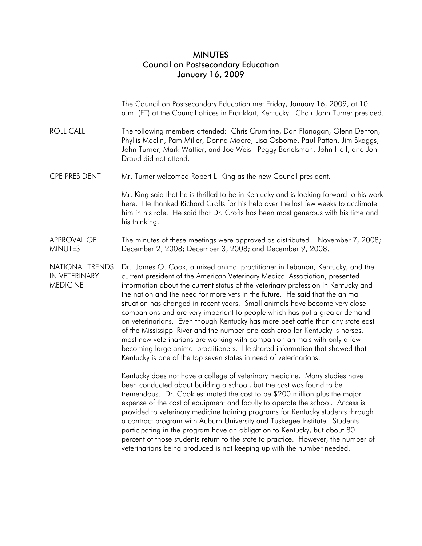## MINUTES Council on Postsecondary Education January 16, 2009

|                                                            | The Council on Postsecondary Education met Friday, January 16, 2009, at 10<br>a.m. (ET) at the Council offices in Frankfort, Kentucky. Chair John Turner presided.                                                                                                                                                                                                                                                                                                                                                                                                                                                                                                                                                                                                                                                                                                                                 |
|------------------------------------------------------------|----------------------------------------------------------------------------------------------------------------------------------------------------------------------------------------------------------------------------------------------------------------------------------------------------------------------------------------------------------------------------------------------------------------------------------------------------------------------------------------------------------------------------------------------------------------------------------------------------------------------------------------------------------------------------------------------------------------------------------------------------------------------------------------------------------------------------------------------------------------------------------------------------|
| <b>ROLL CALL</b>                                           | The following members attended: Chris Crumrine, Dan Flanagan, Glenn Denton,<br>Phyllis Maclin, Pam Miller, Donna Moore, Lisa Osborne, Paul Patton, Jim Skaggs,<br>John Turner, Mark Wattier, and Joe Weis. Peggy Bertelsman, John Hall, and Jon<br>Draud did not attend.                                                                                                                                                                                                                                                                                                                                                                                                                                                                                                                                                                                                                           |
| <b>CPE PRESIDENT</b>                                       | Mr. Turner welcomed Robert L. King as the new Council president.                                                                                                                                                                                                                                                                                                                                                                                                                                                                                                                                                                                                                                                                                                                                                                                                                                   |
|                                                            | Mr. King said that he is thrilled to be in Kentucky and is looking forward to his work<br>here. He thanked Richard Crofts for his help over the last few weeks to acclimate<br>him in his role. He said that Dr. Crofts has been most generous with his time and<br>his thinking.                                                                                                                                                                                                                                                                                                                                                                                                                                                                                                                                                                                                                  |
| <b>APPROVAL OF</b><br><b>MINUTES</b>                       | The minutes of these meetings were approved as distributed - November 7, 2008;<br>December 2, 2008; December 3, 2008; and December 9, 2008.                                                                                                                                                                                                                                                                                                                                                                                                                                                                                                                                                                                                                                                                                                                                                        |
| <b>NATIONAL TRENDS</b><br>IN VETERINARY<br><b>MEDICINE</b> | Dr. James O. Cook, a mixed animal practitioner in Lebanon, Kentucky, and the<br>current president of the American Veterinary Medical Association, presented<br>information about the current status of the veterinary profession in Kentucky and<br>the nation and the need for more vets in the future. He said that the animal<br>situation has changed in recent years. Small animals have become very close<br>companions and are very important to people which has put a greater demand<br>on veterinarians. Even though Kentucky has more beef cattle than any state east<br>of the Mississippi River and the number one cash crop for Kentucky is horses,<br>most new veterinarians are working with companion animals with only a few<br>becoming large animal practitioners. He shared information that showed that<br>Kentucky is one of the top seven states in need of veterinarians. |
|                                                            | Kentucky does not have a college of veterinary medicine. Many studies have<br>been conducted about building a school, but the cost was found to be<br>tremendous. Dr. Cook estimated the cost to be \$200 million plus the major<br>expense of the cost of equipment and faculty to operate the school. Access is<br>provided to veterinary medicine training programs for Kentucky students through<br>a contract program with Auburn University and Tuskegee Institute. Students<br>participating in the program have an obligation to Kentucky, but about 80<br>percent of those students return to the state to practice. However, the number of<br>veterinarians being produced is not keeping up with the number needed.                                                                                                                                                                     |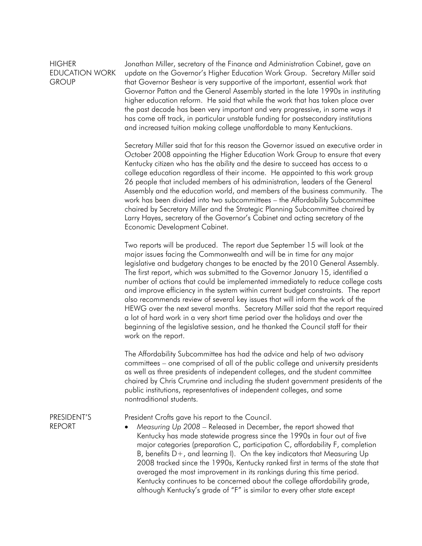## **HIGHER** EDUCATION WORK **GROUP**

Jonathan Miller, secretary of the Finance and Administration Cabinet, gave an update on the Governor's Higher Education Work Group. Secretary Miller said that Governor Beshear is very supportive of the important, essential work that Governor Patton and the General Assembly started in the late 1990s in instituting higher education reform. He said that while the work that has taken place over the past decade has been very important and very progressive, in some ways it has come off track, in particular unstable funding for postsecondary institutions and increased tuition making college unaffordable to many Kentuckians.

 Secretary Miller said that for this reason the Governor issued an executive order in October 2008 appointing the Higher Education Work Group to ensure that every Kentucky citizen who has the ability and the desire to succeed has access to a college education regardless of their income. He appointed to this work group 26 people that included members of his administration, leaders of the General Assembly and the education world, and members of the business community. The work has been divided into two subcommittees – the Affordability Subcommittee chaired by Secretary Miller and the Strategic Planning Subcommittee chaired by Larry Hayes, secretary of the Governor's Cabinet and acting secretary of the Economic Development Cabinet.

 Two reports will be produced. The report due September 15 will look at the major issues facing the Commonwealth and will be in time for any major legislative and budgetary changes to be enacted by the 2010 General Assembly. The first report, which was submitted to the Governor January 15, identified a number of actions that could be implemented immediately to reduce college costs and improve efficiency in the system within current budget constraints. The report also recommends review of several key issues that will inform the work of the HEWG over the next several months. Secretary Miller said that the report required a lot of hard work in a very short time period over the holidays and over the beginning of the legislative session, and he thanked the Council staff for their work on the report.

 The Affordability Subcommittee has had the advice and help of two advisory committees – one comprised of all of the public college and university presidents as well as three presidents of independent colleges, and the student committee chaired by Chris Crumrine and including the student government presidents of the public institutions, representatives of independent colleges, and some nontraditional students.

PRESIDENT'S REPORT

President Crofts gave his report to the Council.

• *Measuring Up 2008* – Released in December, the report showed that Kentucky has made statewide progress since the 1990s in four out of five major categories (preparation C, participation C, affordability F, completion B, benefits  $D+$ , and learning I). On the key indicators that Measuring Up 2008 tracked since the 1990s, Kentucky ranked first in terms of the state that averaged the most improvement in its rankings during this time period. Kentucky continues to be concerned about the college affordability grade, although Kentucky's grade of "F" is similar to every other state except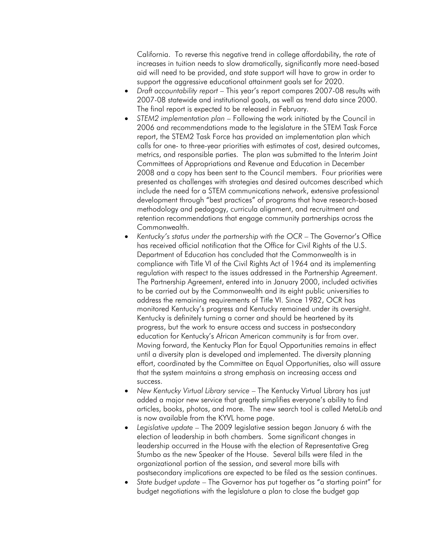California. To reverse this negative trend in college affordability, the rate of increases in tuition needs to slow dramatically, significantly more need-based aid will need to be provided, and state support will have to grow in order to support the aggressive educational attainment goals set for 2020.

- *Draft accountability report* This year's report compares 2007-08 results with 2007-08 statewide and institutional goals, as well as trend data since 2000. The final report is expected to be released in February.
- *STEM2 implementation plan* Following the work initiated by the Council in 2006 and recommendations made to the legislature in the STEM Task Force report, the STEM2 Task Force has provided an implementation plan which calls for one- to three-year priorities with estimates of cost, desired outcomes, metrics, and responsible parties. The plan was submitted to the Interim Joint Committees of Appropriations and Revenue and Education in December 2008 and a copy has been sent to the Council members. Four priorities were presented as challenges with strategies and desired outcomes described which include the need for a STEM communications network, extensive professional development through "best practices" of programs that have research-based methodology and pedagogy, curricula alignment, and recruitment and retention recommendations that engage community partnerships across the Commonwealth.
- *Kentucky's status under the partnership with the OCR* The Governor's Office has received official notification that the Office for Civil Rights of the U.S. Department of Education has concluded that the Commonwealth is in compliance with Title VI of the Civil Rights Act of 1964 and its implementing regulation with respect to the issues addressed in the Partnership Agreement. The Partnership Agreement, entered into in January 2000, included activities to be carried out by the Commonwealth and its eight public universities to address the remaining requirements of Title VI. Since 1982, OCR has monitored Kentucky's progress and Kentucky remained under its oversight. Kentucky is definitely turning a corner and should be heartened by its progress, but the work to ensure access and success in postsecondary education for Kentucky's African American community is far from over. Moving forward, the Kentucky Plan for Equal Opportunities remains in effect until a diversity plan is developed and implemented. The diversity planning effort, coordinated by the Committee on Equal Opportunities, also will assure that the system maintains a strong emphasis on increasing access and success.
- *New Kentucky Virtual Library service* The Kentucky Virtual Library has just added a major new service that greatly simplifies everyone's ability to find articles, books, photos, and more. The new search tool is called MetaLib and is now available from the KYVL home page.
- *Legislative update* The 2009 legislative session began January 6 with the election of leadership in both chambers. Some significant changes in leadership occurred in the House with the election of Representative Greg Stumbo as the new Speaker of the House. Several bills were filed in the organizational portion of the session, and several more bills with postsecondary implications are expected to be filed as the session continues.
- *State budget update* The Governor has put together as "a starting point" for budget negotiations with the legislature a plan to close the budget gap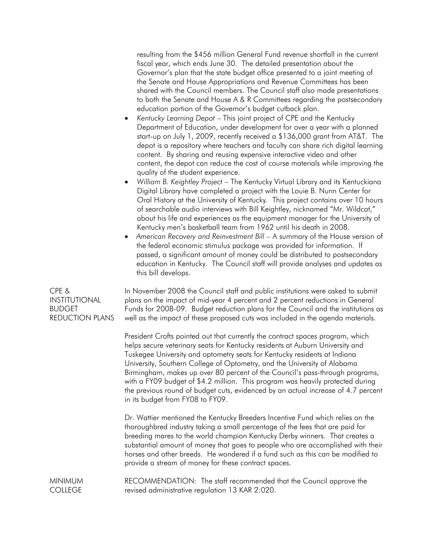resulting from the \$456 million General Fund revenue shortfall in the current fiscal year, which ends June 30. The detailed presentation about the Governor's plan that the state budget office presented to a joint meeting of the Senate and House Appropriations and Revenue Committees has been shared with the Council members. The Council staff also made presentations to both the Senate and House A & R Committees regarding the postsecondary education portion of the Governor's budget cutback plan.

- *Kentucky Learning Depot* This joint project of CPE and the Kentucky Department of Education, under development for over a year with a planned start-up on July 1, 2009, recently received a \$136,000 grant from AT&T. The depot is a repository where teachers and faculty can share rich digital learning content. By sharing and reusing expensive interactive video and other content, the depot can reduce the cost of course materials while improving the quality of the student experience.
- *William B. Keightley Project* The Kentucky Virtual Library and its Kentuckiana Digital Library have completed a project with the Louie B. Nunn Center for Oral History at the University of Kentucky. This project contains over 10 hours of searchable audio interviews with Bill Keightley, nicknamed "Mr. Wildcat," about his life and experiences as the equipment manager for the University of Kentucky men's basketball team from 1962 until his death in 2008.
- *American Recovery and Reinvestment Bill* A summary of the House version of the federal economic stimulus package was provided for information. If passed, a significant amount of money could be distributed to postsecondary education in Kentucky. The Council staff will provide analyses and updates as this bill develops.

In November 2008 the Council staff and public institutions were asked to submit plans on the impact of mid-year 4 percent and 2 percent reductions in General Funds for 2008-09. Budget reduction plans for the Council and the institutions as well as the impact of these proposed cuts was included in the agenda materials.

 President Crofts pointed out that currently the contract spaces program, which helps secure veterinary seats for Kentucky residents at Auburn University and Tuskegee University and optometry seats for Kentucky residents at Indiana University, Southern College of Optometry, and the University of Alabama Birmingham, makes up over 80 percent of the Council's pass-through programs, with a FY09 budget of \$4.2 million. This program was heavily protected during the previous round of budget cuts, evidenced by an actual increase of 4.7 percent in its budget from FY08 to FY09.

 Dr. Wattier mentioned the Kentucky Breeders Incentive Fund which relies on the thoroughbred industry taking a small percentage of the fees that are paid for breeding mares to the world champion Kentucky Derby winners. That creates a substantial amount of money that goes to people who are accomplished with their horses and other breeds. He wondered if a fund such as this can be modified to provide a stream of money for these contract spaces.

MINIMUM **COLLEGE** RECOMMENDATION: The staff recommended that the Council approve the revised administrative regulation 13 KAR 2:020.

CPE & INSTITUTIONAL BUDGET REDUCTION PLANS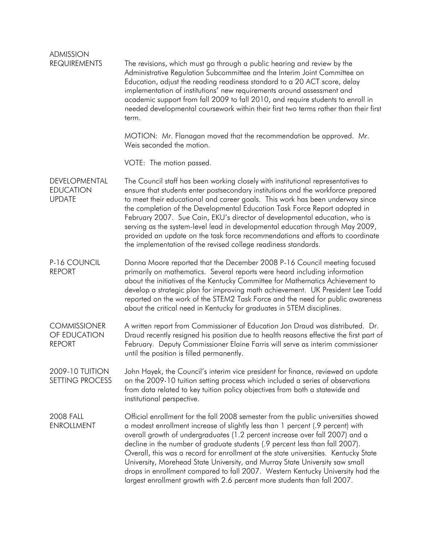| <b>ADMISSION</b><br><b>REQUIREMENTS</b>              | The revisions, which must go through a public hearing and review by the<br>Administrative Regulation Subcommittee and the Interim Joint Committee on<br>Education, adjust the reading readiness standard to a 20 ACT score, delay<br>implementation of institutions' new requirements around assessment and<br>academic support from fall 2009 to fall 2010, and require students to enroll in<br>needed developmental coursework within their first two terms rather than their first<br>term.                                                                                                                                                                           |
|------------------------------------------------------|---------------------------------------------------------------------------------------------------------------------------------------------------------------------------------------------------------------------------------------------------------------------------------------------------------------------------------------------------------------------------------------------------------------------------------------------------------------------------------------------------------------------------------------------------------------------------------------------------------------------------------------------------------------------------|
|                                                      | MOTION: Mr. Flanagan moved that the recommendation be approved. Mr.<br>Weis seconded the motion.                                                                                                                                                                                                                                                                                                                                                                                                                                                                                                                                                                          |
|                                                      | VOTE: The motion passed.                                                                                                                                                                                                                                                                                                                                                                                                                                                                                                                                                                                                                                                  |
| DEVELOPMENTAL<br><b>EDUCATION</b><br><b>UPDATE</b>   | The Council staff has been working closely with institutional representatives to<br>ensure that students enter postsecondary institutions and the workforce prepared<br>to meet their educational and career goals. This work has been underway since<br>the completion of the Developmental Education Task Force Report adopted in<br>February 2007. Sue Cain, EKU's director of developmental education, who is<br>serving as the system-level lead in developmental education through May 2009,<br>provided an update on the task force recommendations and efforts to coordinate<br>the implementation of the revised college readiness standards.                    |
| P-16 COUNCIL<br><b>REPORT</b>                        | Donna Moore reported that the December 2008 P-16 Council meeting focused<br>primarily on mathematics. Several reports were heard including information<br>about the initiatives of the Kentucky Committee for Mathematics Achievement to<br>develop a strategic plan for improving math achievement. UK President Lee Todd<br>reported on the work of the STEM2 Task Force and the need for public awareness<br>about the critical need in Kentucky for graduates in STEM disciplines.                                                                                                                                                                                    |
| <b>COMMISSIONER</b><br>OF EDUCATION<br><b>REPORT</b> | A written report from Commissioner of Education Jon Draud was distributed. Dr.<br>Draud recently resigned his position due to health reasons effective the first part of<br>February. Deputy Commissioner Elaine Farris will serve as interim commissioner<br>until the position is filled permanently.                                                                                                                                                                                                                                                                                                                                                                   |
| 2009-10 TUITION<br><b>SETTING PROCESS</b>            | John Hayek, the Council's interim vice president for finance, reviewed an update<br>on the 2009-10 tuition setting process which included a series of observations<br>from data related to key tuition policy objectives from both a statewide and<br>institutional perspective.                                                                                                                                                                                                                                                                                                                                                                                          |
| <b>2008 FALL</b><br><b>ENROLLMENT</b>                | Official enrollment for the fall 2008 semester from the public universities showed<br>a modest enrollment increase of slightly less than 1 percent (.9 percent) with<br>overall growth of undergraduates (1.2 percent increase over fall 2007) and a<br>decline in the number of graduate students (.9 percent less than fall 2007).<br>Overall, this was a record for enrollment at the state universities. Kentucky State<br>University, Morehead State University, and Murray State University saw small<br>drops in enrollment compared to fall 2007. Western Kentucky University had the<br>largest enrollment growth with 2.6 percent more students than fall 2007. |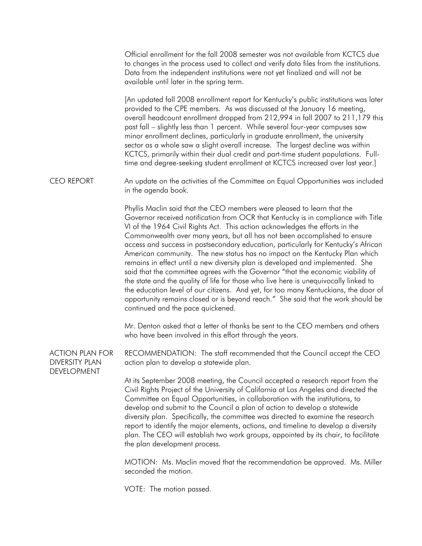Official enrollment for the fall 2008 semester was not available from KCTCS due to changes in the process used to collect and verify data files from the institutions. Data from the independent institutions were not yet finalized and will not be available until later in the spring term.

 [An updated fall 2008 enrollment report for Kentucky's public institutions was later provided to the CPE members. As was discussed at the January 16 meeting, overall headcount enrollment dropped from 212,994 in fall 2007 to 211,179 this past fall – slightly less than 1 percent. While several four-year campuses saw minor enrollment declines, particularly in graduate enrollment, the university sector as a whole saw a slight overall increase. The largest decline was within KCTCS, primarily within their dual credit and part-time student populations. Fulltime and degree-seeking student enrollment at KCTCS increased over last year.]

CEO REPORT An update on the activities of the Committee on Equal Opportunities was included in the agenda book.

> Phyllis Maclin said that the CEO members were pleased to learn that the Governor received notification from OCR that Kentucky is in compliance with Title VI of the 1964 Civil Rights Act. This action acknowledges the efforts in the Commonwealth over many years, but all has not been accomplished to ensure access and success in postsecondary education, particularly for Kentucky's African American community. The new status has no impact on the Kentucky Plan which remains in effect until a new diversity plan is developed and implemented. She said that the committee agrees with the Governor "that the economic viability of the state and the quality of life for those who live here is unequivocally linked to the education level of our citizens. And yet, for too many Kentuckians, the door of opportunity remains closed or is beyond reach." She said that the work should be continued and the pace quickened.

 Mr. Denton asked that a letter of thanks be sent to the CEO members and others who have been involved in this effort through the years.

ACTION PLAN FOR DIVERSITY PLAN DEVELOPMENT RECOMMENDATION: The staff recommended that the Council accept the CEO action plan to develop a statewide plan.

> At its September 2008 meeting, the Council accepted a research report from the Civil Rights Project of the University of California at Los Angeles and directed the Committee on Equal Opportunities, in collaboration with the institutions, to develop and submit to the Council a plan of action to develop a statewide diversity plan. Specifically, the committee was directed to examine the research report to identify the major elements, actions, and timeline to develop a diversity plan. The CEO will establish two work groups, appointed by its chair, to facilitate the plan development process.

> MOTION: Ms. Maclin moved that the recommendation be approved. Ms. Miller seconded the motion.

VOTE: The motion passed.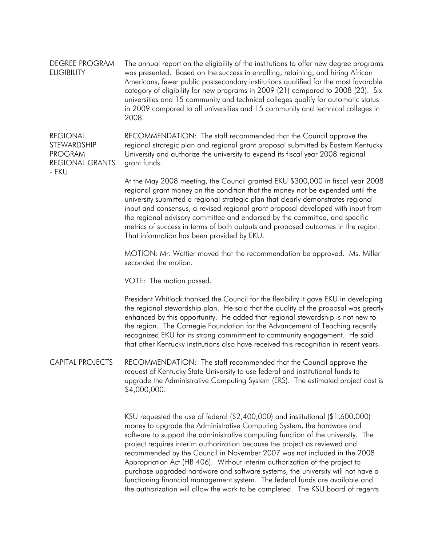DEGREE PROGRAM **ELIGIBILITY** The annual report on the eligibility of the institutions to offer new degree programs was presented. Based on the success in enrolling, retaining, and hiring African Americans, fewer public postsecondary institutions qualified for the most favorable category of eligibility for new programs in 2009 (21) compared to 2008 (23). Six universities and 15 community and technical colleges qualify for automatic status in 2009 compared to all universities and 15 community and technical colleges in 2008.

REGIONAL **STEWARDSHIP** PROGRAM REGIONAL GRANTS - EKU RECOMMENDATION: The staff recommended that the Council approve the regional strategic plan and regional grant proposal submitted by Eastern Kentucky University and authorize the university to expend its fiscal year 2008 regional grant funds.

> At the May 2008 meeting, the Council granted EKU \$300,000 in fiscal year 2008 regional grant money on the condition that the money not be expended until the university submitted a regional strategic plan that clearly demonstrates regional input and consensus, a revised regional grant proposal developed with input from the regional advisory committee and endorsed by the committee, and specific metrics of success in terms of both outputs and proposed outcomes in the region. That information has been provided by EKU.

 MOTION: Mr. Wattier moved that the recommendation be approved. Ms. Miller seconded the motion.

VOTE: The motion passed.

 President Whitlock thanked the Council for the flexibility it gave EKU in developing the regional stewardship plan. He said that the quality of the proposal was greatly enhanced by this opportunity. He added that regional stewardship is not new to the region. The Carnegie Foundation for the Advancement of Teaching recently recognized EKU for its strong commitment to community engagement. He said that other Kentucky institutions also have received this recognition in recent years.

CAPITAL PROJECTS RECOMMENDATION: The staff recommended that the Council approve the request of Kentucky State University to use federal and institutional funds to upgrade the Administrative Computing System (ERS). The estimated project cost is \$4,000,000.

> KSU requested the use of federal (\$2,400,000) and institutional (\$1,600,000) money to upgrade the Administrative Computing System, the hardware and software to support the administrative computing function of the university. The project requires interim authorization because the project as reviewed and recommended by the Council in November 2007 was not included in the 2008 Appropriation Act (HB 406). Without interim authorization of the project to purchase upgraded hardware and software systems, the university will not have a functioning financial management system. The federal funds are available and the authorization will allow the work to be completed. The KSU board of regents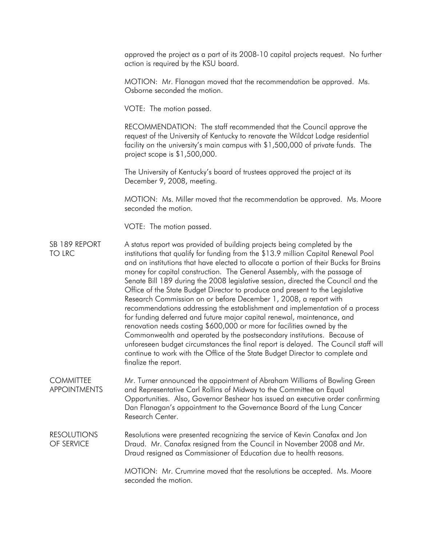approved the project as a part of its 2008-10 capital projects request. No further action is required by the KSU board.

 MOTION: Mr. Flanagan moved that the recommendation be approved. Ms. Osborne seconded the motion.

VOTE: The motion passed.

 RECOMMENDATION: The staff recommended that the Council approve the request of the University of Kentucky to renovate the Wildcat Lodge residential facility on the university's main campus with \$1,500,000 of private funds. The project scope is \$1,500,000.

 The University of Kentucky's board of trustees approved the project at its December 9, 2008, meeting.

 MOTION: Ms. Miller moved that the recommendation be approved. Ms. Moore seconded the motion.

VOTE: The motion passed.

SB 189 REPORT TO LRC A status report was provided of building projects being completed by the institutions that qualify for funding from the \$13.9 million Capital Renewal Pool and on institutions that have elected to allocate a portion of their Bucks for Brains money for capital construction. The General Assembly, with the passage of Senate Bill 189 during the 2008 legislative session, directed the Council and the Office of the State Budget Director to produce and present to the Legislative Research Commission on or before December 1, 2008, a report with recommendations addressing the establishment and implementation of a process for funding deferred and future major capital renewal, maintenance, and renovation needs costing \$600,000 or more for facilities owned by the Commonwealth and operated by the postsecondary institutions. Because of unforeseen budget circumstances the final report is delayed. The Council staff will continue to work with the Office of the State Budget Director to complete and finalize the report.

COMMITTEE APPOINTMENTS Mr. Turner announced the appointment of Abraham Williams of Bowling Green and Representative Carl Rollins of Midway to the Committee on Equal Opportunities. Also, Governor Beshear has issued an executive order confirming Dan Flanagan's appointment to the Governance Board of the Lung Cancer Research Center.

RESOLUTIONS OF SERVICE Resolutions were presented recognizing the service of Kevin Canafax and Jon Draud. Mr. Canafax resigned from the Council in November 2008 and Mr. Draud resigned as Commissioner of Education due to health reasons.

> MOTION: Mr. Crumrine moved that the resolutions be accepted. Ms. Moore seconded the motion.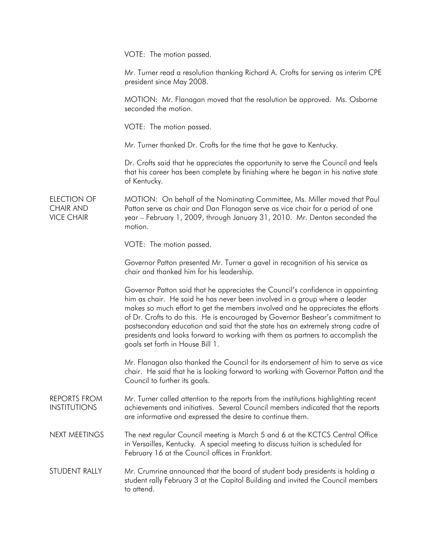VOTE: The motion passed.

 Mr. Turner read a resolution thanking Richard A. Crofts for serving as interim CPE president since May 2008.

 MOTION: Mr. Flanagan moved that the resolution be approved. Ms. Osborne seconded the motion.

VOTE: The motion passed.

Mr. Turner thanked Dr. Crofts for the time that he gave to Kentucky.

 Dr. Crofts said that he appreciates the opportunity to serve the Council and feels that his career has been complete by finishing where he began in his native state of Kentucky.

ELECTION OF CHAIR AND VICE CHAIR MOTION: On behalf of the Nominating Committee, Ms. Miller moved that Paul Patton serve as chair and Dan Flanagan serve as vice chair for a period of one year – February 1, 2009, through January 31, 2010. Mr. Denton seconded the motion.

VOTE: The motion passed.

 Governor Patton presented Mr. Turner a gavel in recognition of his service as chair and thanked him for his leadership.

 Governor Patton said that he appreciates the Council's confidence in appointing him as chair. He said he has never been involved in a group where a leader makes so much effort to get the members involved and he appreciates the efforts of Dr. Crofts to do this. He is encouraged by Governor Beshear's commitment to postsecondary education and said that the state has an extremely strong cadre of presidents and looks forward to working with them as partners to accomplish the goals set forth in House Bill 1.

 Mr. Flanagan also thanked the Council for its endorsement of him to serve as vice chair. He said that he is looking forward to working with Governor Patton and the Council to further its goals.

REPORTS FROM INSTITUTIONS Mr. Turner called attention to the reports from the institutions highlighting recent achievements and initiatives. Several Council members indicated that the reports are informative and expressed the desire to continue them.

NEXT MEETINGS The next regular Council meeting is March 5 and 6 at the KCTCS Central Office in Versailles, Kentucky. A special meeting to discuss tuition is scheduled for February 16 at the Council offices in Frankfort.

STUDENT RALLY Mr. Crumrine announced that the board of student body presidents is holding a student rally February 3 at the Capitol Building and invited the Council members to attend.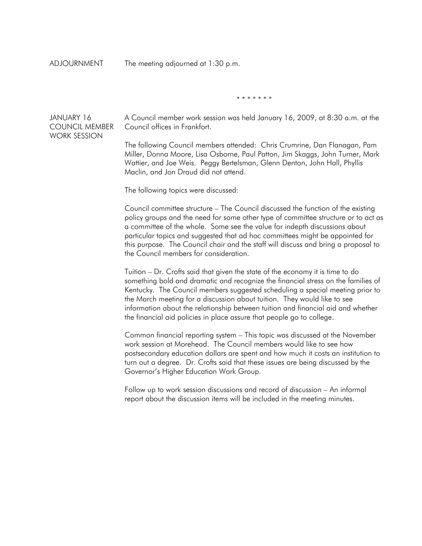ADJOURNMENT The meeting adjourned at 1:30 p.m.

\* \* \* \* \* \* \*

JANUARY 16 COUNCIL MEMBER WORK SESSION

A Council member work session was held January 16, 2009, at 8:30 a.m. at the Council offices in Frankfort.

 The following Council members attended: Chris Crumrine, Dan Flanagan, Pam Miller, Donna Moore, Lisa Osborne, Paul Patton, Jim Skaggs, John Turner, Mark Wattier, and Joe Weis. Peggy Bertelsman, Glenn Denton, John Hall, Phyllis Maclin, and Jon Draud did not attend.

The following topics were discussed:

 Council committee structure – The Council discussed the function of the existing policy groups and the need for some other type of committee structure or to act as a committee of the whole. Some see the value for indepth discussions about particular topics and suggested that ad hoc committees might be appointed for this purpose. The Council chair and the staff will discuss and bring a proposal to the Council members for consideration.

 Tuition – Dr. Crofts said that given the state of the economy it is time to do something bold and dramatic and recognize the financial stress on the families of Kentucky. The Council members suggested scheduling a special meeting prior to the March meeting for a discussion about tuition. They would like to see information about the relationship between tuition and financial aid and whether the financial aid policies in place assure that people go to college.

 Common financial reporting system – This topic was discussed at the November work session at Morehead. The Council members would like to see how postsecondary education dollars are spent and how much it costs an institution to turn out a degree. Dr. Crofts said that these issues are being discussed by the Governor's Higher Education Work Group.

 Follow up to work session discussions and record of discussion – An informal report about the discussion items will be included in the meeting minutes.